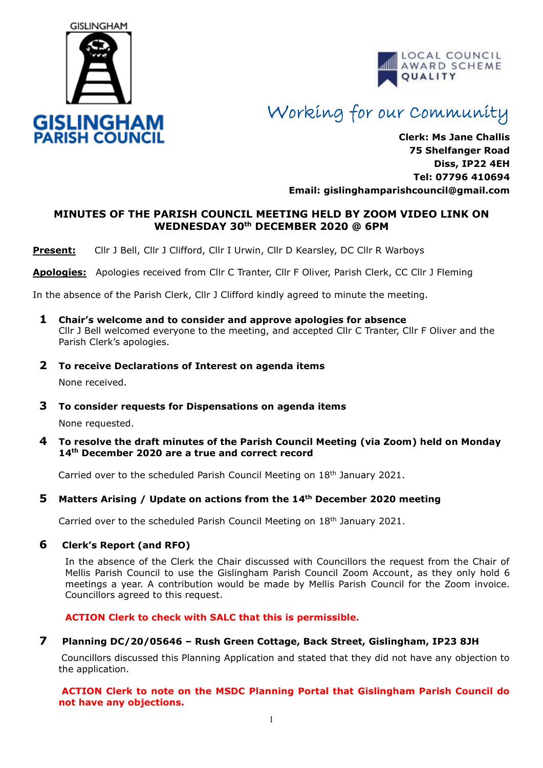



# Working for our Community

**Clerk: Ms Jane Challis 75 Shelfanger Road Diss, IP22 4EH Tel: 07796 410694 Email: [gislinghamparishcouncil@gmail.com](mailto:gislinghamparishcouncil@gmail.com)**

## **MINUTES OF THE PARISH COUNCIL MEETING HELD BY ZOOM VIDEO LINK ON WEDNESDAY 30th DECEMBER 2020 @ 6PM**

**Present:** Cllr J Bell, Cllr J Clifford, Cllr I Urwin, Cllr D Kearsley, DC Cllr R Warboys

**Apologies:** Apologies received from Cllr C Tranter, Cllr F Oliver, Parish Clerk, CC Cllr J Fleming

In the absence of the Parish Clerk, Cllr J Clifford kindly agreed to minute the meeting.

- **1 Chair's welcome and to consider and approve apologies for absence** Cllr J Bell welcomed everyone to the meeting, and accepted Cllr C Tranter, Cllr F Oliver and the Parish Clerk's apologies.
- **2 To receive Declarations of Interest on agenda items**

None received.

**3 To consider requests for Dispensations on agenda items**

None requested.

**4 To resolve the draft minutes of the Parish Council Meeting (via Zoom) held on Monday 14th December 2020 are a true and correct record** 

Carried over to the scheduled Parish Council Meeting on 18th January 2021.

### **5 Matters Arising / Update on actions from the 14th December 2020 meeting**

Carried over to the scheduled Parish Council Meeting on 18th January 2021.

### **6 Clerk's Report (and RFO)**

In the absence of the Clerk the Chair discussed with Councillors the request from the Chair of Mellis Parish Council to use the Gislingham Parish Council Zoom Account, as they only hold 6 meetings a year. A contribution would be made by Mellis Parish Council for the Zoom invoice. Councillors agreed to this request.

**ACTION Clerk to check with SALC that this is permissible.**

**7 Planning DC/20/05646 – Rush Green Cottage, Back Street, Gislingham, IP23 8JH**

Councillors discussed this Planning Application and stated that they did not have any objection to the application.

#### **ACTION Clerk to note on the MSDC Planning Portal that Gislingham Parish Council do not have any objections.**